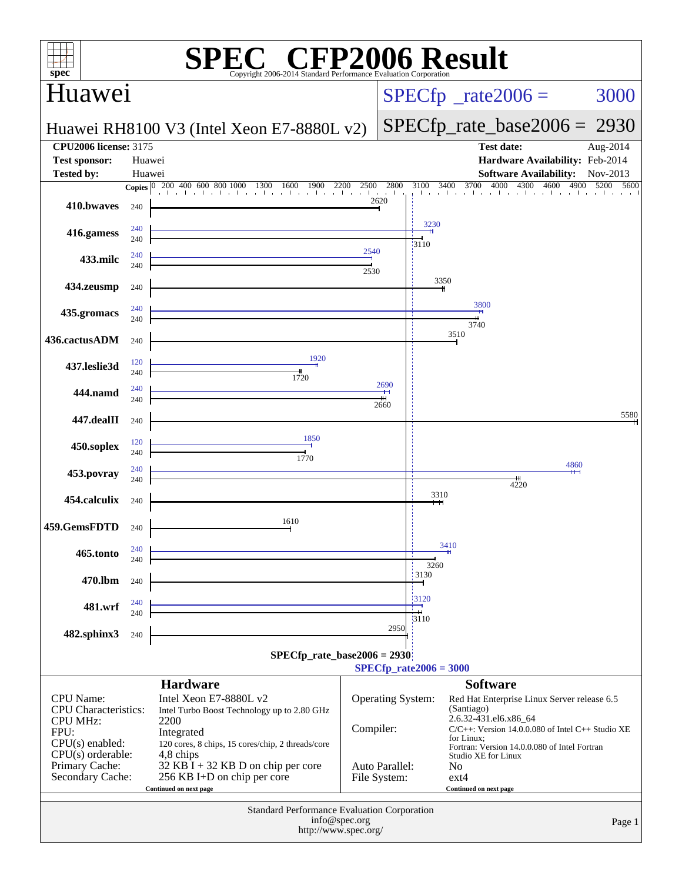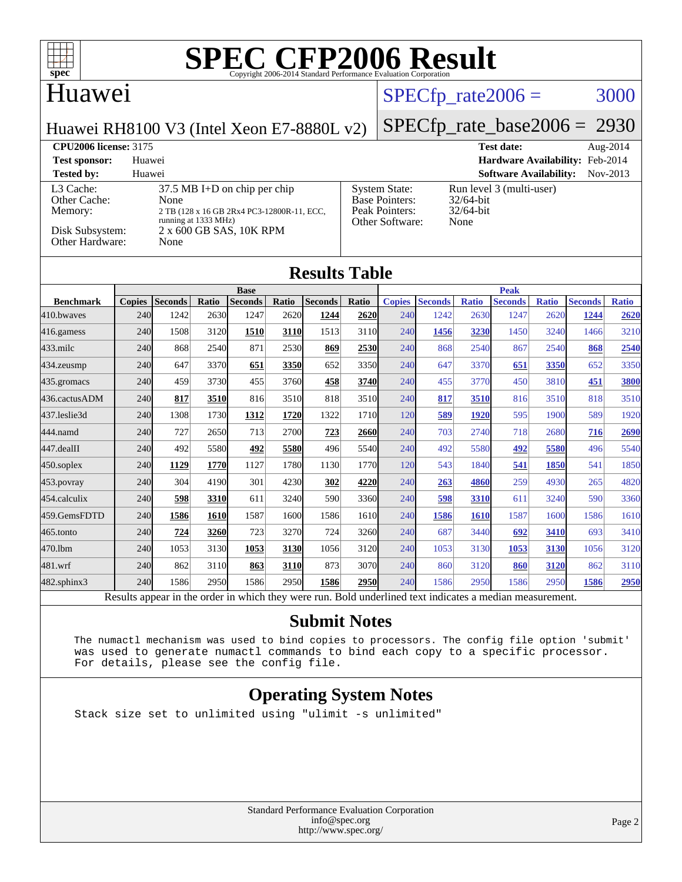

#### Huawei

#### $SPECfp_rate2006 = 3000$  $SPECfp_rate2006 = 3000$

[System State:](http://www.spec.org/auto/cpu2006/Docs/result-fields.html#SystemState) Run level 3 (multi-user)<br>Base Pointers:  $32/64$ -bit

[Base Pointers:](http://www.spec.org/auto/cpu2006/Docs/result-fields.html#BasePointers) 32/64-bit<br>Peak Pointers: 32/64-bit

[Other Software:](http://www.spec.org/auto/cpu2006/Docs/result-fields.html#OtherSoftware) None

[Peak Pointers:](http://www.spec.org/auto/cpu2006/Docs/result-fields.html#PeakPointers)

Huawei RH8100 V3 (Intel Xeon E7-8880L v2)

[SPECfp\\_rate\\_base2006 =](http://www.spec.org/auto/cpu2006/Docs/result-fields.html#SPECfpratebase2006) 2930

| <b>CPU2006 license: 3175</b> |        | Test date:                             | Aug- $2014$ |
|------------------------------|--------|----------------------------------------|-------------|
| <b>Test sponsor:</b>         | Huawei | <b>Hardware Availability: Feb-2014</b> |             |
| <b>Tested by:</b>            | Huawei | <b>Software Availability:</b> Nov-2013 |             |

#### [L3 Cache:](http://www.spec.org/auto/cpu2006/Docs/result-fields.html#L3Cache) 37.5 MB I+D on chip per chip<br>Other Cache: None [Other Cache:](http://www.spec.org/auto/cpu2006/Docs/result-fields.html#OtherCache) [Memory:](http://www.spec.org/auto/cpu2006/Docs/result-fields.html#Memory) 2 TB (128 x 16 GB 2Rx4 PC3-12800R-11, ECC, running at 1333 MHz) [Disk Subsystem:](http://www.spec.org/auto/cpu2006/Docs/result-fields.html#DiskSubsystem) 2 x 600 GB SAS, 10K RPM [Other Hardware:](http://www.spec.org/auto/cpu2006/Docs/result-fields.html#OtherHardware) None

| Other Hardware:  |               | None           |       |                |       |                      |       |               |                |              |                |              |                |              |
|------------------|---------------|----------------|-------|----------------|-------|----------------------|-------|---------------|----------------|--------------|----------------|--------------|----------------|--------------|
|                  |               |                |       |                |       | <b>Results Table</b> |       |               |                |              |                |              |                |              |
|                  |               |                |       | <b>Base</b>    |       |                      |       |               |                |              | <b>Peak</b>    |              |                |              |
| <b>Benchmark</b> | <b>Copies</b> | <b>Seconds</b> | Ratio | <b>Seconds</b> | Ratio | <b>Seconds</b>       | Ratio | <b>Copies</b> | <b>Seconds</b> | <b>Ratio</b> | <b>Seconds</b> | <b>Ratio</b> | <b>Seconds</b> | <b>Ratio</b> |
| 410.bwayes       | 240           | 1242           | 2630  | 1247           | 2620  | 1244                 | 2620  | 240           | 1242           | 2630         | 1247           | 2620         | 1244           | 2620         |
| 416.gamess       | 240           | 1508           | 3120  | 1510           | 3110  | 1513                 | 3110  | 240           | 1456           | 3230         | 1450           | 3240         | 1466           | 3210         |
| $433$ .milc      | 240           | 868            | 2540  | 871            | 2530  | 869                  | 2530  | 240           | 868            | 2540         | 867            | 2540         | 868            | 2540         |
| 434.zeusmp       | 240           | 647            | 3370  | 651            | 3350  | 652                  | 3350  | 240           | 647            | 3370         | 651            | 3350         | 652            | 3350         |
| 435.gromacs      | 240           | 459            | 3730  | 455            | 3760  | 458                  | 3740  | 240           | 455            | 3770         | 450            | 3810         | 451            | 3800         |
| 436.cactusADM    | 240           | 817            | 3510  | 816            | 3510  | 818                  | 3510  | 240           | 817            | 3510         | 816            | 3510         | 818            | 3510         |
| 437.leslie3d     | 240           | 1308           | 1730  | 1312           | 1720  | 1322                 | 1710  | <b>120</b>    | 589            | 1920         | 595            | 1900         | 589            | 1920         |
| 444.namd         | 240           | 727            | 2650  | 713            | 2700  | 723                  | 2660  | 240           | 703            | 2740         | 718            | 2680         | 716            | 2690         |
| 447.dealII       | 240           | 492            | 5580  | 492            | 5580  | 496                  | 5540  | 240           | 492            | 5580         | 492            | 5580         | 496            | 5540         |
| 450.soplex       | 240           | 1129           | 1770  | 1127           | 1780  | 1130                 | 1770  | <b>120</b>    | 543            | 1840         | 541            | 1850         | 541            | 1850         |
| 453.povray       | 240           | 304            | 4190  | 301            | 4230  | 302                  | 4220  | 240           | 263            | 4860         | 259            | 4930         | 265            | 4820         |
| 454.calculix     | 240           | 598            | 3310  | 611            | 3240  | 590                  | 3360  | 240           | 598            | 3310         | 611            | 3240         | 590            | 3360         |
| 459.GemsFDTD     | 240           | 1586           | 1610  | 1587           | 1600  | 1586                 | 1610  | 240           | 1586           | 1610         | 1587           | 1600         | 1586           | 1610         |
| 465.tonto        | 240           | 724            | 3260  | 723            | 3270  | 724                  | 3260  | 240           | 687            | 3440         | 692            | 3410         | 693            | 3410         |
| 470.1bm          | 240           | 1053           | 3130  | 1053           | 3130  | 1056                 | 3120  | 240           | 1053           | 3130         | 1053           | 3130         | 1056           | 3120         |
| 481.wrf          | 240           | 862            | 3110  | 863            | 3110  | 873                  | 3070  | 240           | 860            | 3120         | 860            | 3120         | 862            | 3110         |
| 482.sphinx3      | 240           | 1586           | 2950  | 1586           | 2950  | 1586                 | 2950  | 240           | 1586           | 2950         | 1586           | 2950         | 1586           | 2950         |
|                  |               |                |       |                |       |                      |       |               |                |              |                |              |                |              |

Results appear in the [order in which they were run.](http://www.spec.org/auto/cpu2006/Docs/result-fields.html#RunOrder) Bold underlined text [indicates a median measurement.](http://www.spec.org/auto/cpu2006/Docs/result-fields.html#Median)

#### **[Submit Notes](http://www.spec.org/auto/cpu2006/Docs/result-fields.html#SubmitNotes)**

 The numactl mechanism was used to bind copies to processors. The config file option 'submit' was used to generate numactl commands to bind each copy to a specific processor. For details, please see the config file.

#### **[Operating System Notes](http://www.spec.org/auto/cpu2006/Docs/result-fields.html#OperatingSystemNotes)**

Stack size set to unlimited using "ulimit -s unlimited"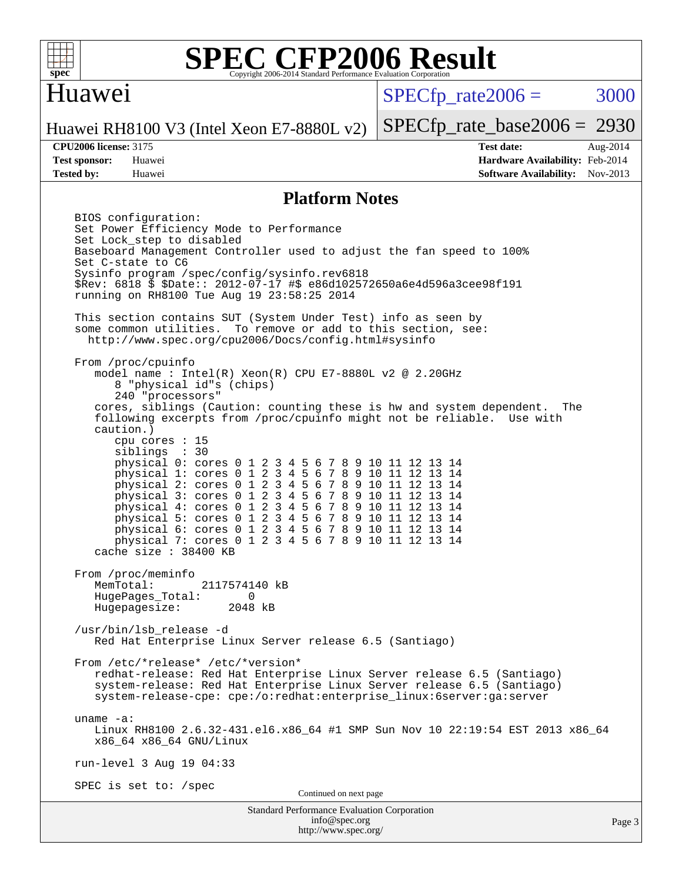

#### Huawei

 $SPECTp\_rate2006 = 3000$ 

[SPECfp\\_rate\\_base2006 =](http://www.spec.org/auto/cpu2006/Docs/result-fields.html#SPECfpratebase2006) 2930

Huawei RH8100 V3 (Intel Xeon E7-8880L v2)

**[Tested by:](http://www.spec.org/auto/cpu2006/Docs/result-fields.html#Testedby)** Huawei **[Software Availability:](http://www.spec.org/auto/cpu2006/Docs/result-fields.html#SoftwareAvailability)** Nov-2013

**[CPU2006 license:](http://www.spec.org/auto/cpu2006/Docs/result-fields.html#CPU2006license)** 3175 **[Test date:](http://www.spec.org/auto/cpu2006/Docs/result-fields.html#Testdate)** Aug-2014 **[Test sponsor:](http://www.spec.org/auto/cpu2006/Docs/result-fields.html#Testsponsor)** Huawei **[Hardware Availability:](http://www.spec.org/auto/cpu2006/Docs/result-fields.html#HardwareAvailability)** Feb-2014

#### **[Platform Notes](http://www.spec.org/auto/cpu2006/Docs/result-fields.html#PlatformNotes)**

Standard Performance Evaluation Corporation [info@spec.org](mailto:info@spec.org) <http://www.spec.org/> Page 3 BIOS configuration: Set Power Efficiency Mode to Performance Set Lock\_step to disabled Baseboard Management Controller used to adjust the fan speed to 100% Set C-state to C6 Sysinfo program /spec/config/sysinfo.rev6818 \$Rev: 6818 \$ \$Date:: 2012-07-17 #\$ e86d102572650a6e4d596a3cee98f191 running on RH8100 Tue Aug 19 23:58:25 2014 This section contains SUT (System Under Test) info as seen by some common utilities. To remove or add to this section, see: <http://www.spec.org/cpu2006/Docs/config.html#sysinfo> From /proc/cpuinfo model name : Intel(R) Xeon(R) CPU E7-8880L v2 @ 2.20GHz 8 "physical id"s (chips) 240 "processors" cores, siblings (Caution: counting these is hw and system dependent. The following excerpts from /proc/cpuinfo might not be reliable. Use with caution.) cpu cores : 15 siblings : 30 physical 0: cores 0 1 2 3 4 5 6 7 8 9 10 11 12 13 14 physical 1: cores 0 1 2 3 4 5 6 7 8 9 10 11 12 13 14 physical 2: cores 0 1 2 3 4 5 6 7 8 9 10 11 12 13 14 physical 3: cores 0 1 2 3 4 5 6 7 8 9 10 11 12 13 14 physical 4: cores 0 1 2 3 4 5 6 7 8 9 10 11 12 13 14 physical 5: cores 0 1 2 3 4 5 6 7 8 9 10 11 12 13 14 physical 6: cores 0 1 2 3 4 5 6 7 8 9 10 11 12 13 14 physical 7: cores 0 1 2 3 4 5 6 7 8 9 10 11 12 13 14 cache size : 38400 KB From /proc/meminfo MemTotal: 2117574140 kB HugePages Total: 0 Hugepagesize: 2048 kB /usr/bin/lsb\_release -d Red Hat Enterprise Linux Server release 6.5 (Santiago) From /etc/\*release\* /etc/\*version\* redhat-release: Red Hat Enterprise Linux Server release 6.5 (Santiago) system-release: Red Hat Enterprise Linux Server release 6.5 (Santiago) system-release-cpe: cpe:/o:redhat:enterprise\_linux:6server:ga:server uname -a: Linux RH8100 2.6.32-431.el6.x86\_64 #1 SMP Sun Nov 10 22:19:54 EST 2013 x86\_64 x86\_64 x86\_64 GNU/Linux run-level 3 Aug 19 04:33 SPEC is set to: /spec Continued on next page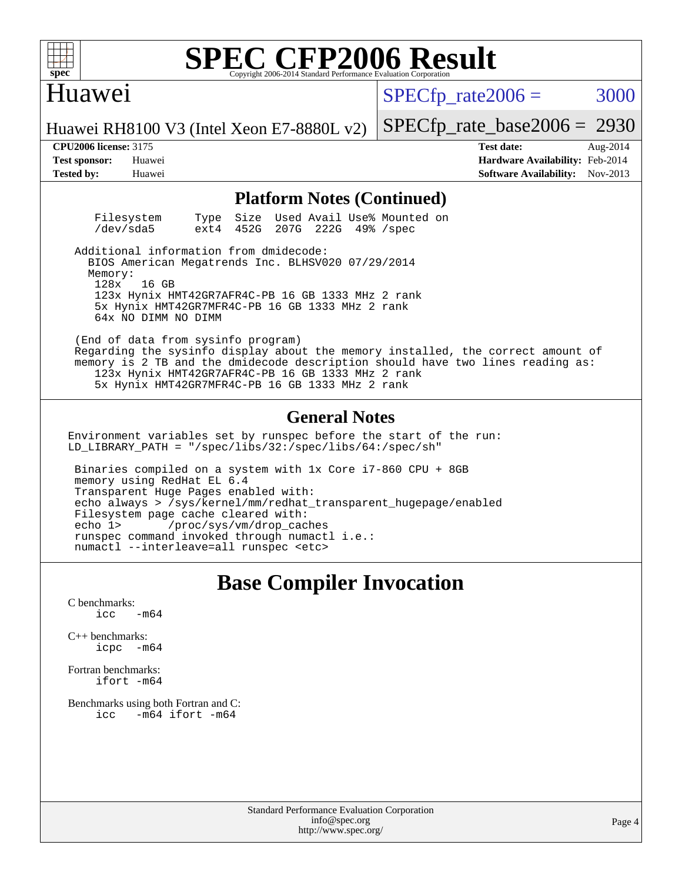

#### Huawei

 $SPECTp\_rate2006 = 3000$ 

Huawei RH8100 V3 (Intel Xeon E7-8880L v2)

[SPECfp\\_rate\\_base2006 =](http://www.spec.org/auto/cpu2006/Docs/result-fields.html#SPECfpratebase2006) 2930

**[CPU2006 license:](http://www.spec.org/auto/cpu2006/Docs/result-fields.html#CPU2006license)** 3175 **[Test date:](http://www.spec.org/auto/cpu2006/Docs/result-fields.html#Testdate)** Aug-2014 **[Test sponsor:](http://www.spec.org/auto/cpu2006/Docs/result-fields.html#Testsponsor)** Huawei **[Hardware Availability:](http://www.spec.org/auto/cpu2006/Docs/result-fields.html#HardwareAvailability)** Feb-2014 **[Tested by:](http://www.spec.org/auto/cpu2006/Docs/result-fields.html#Testedby)** Huawei **[Software Availability:](http://www.spec.org/auto/cpu2006/Docs/result-fields.html#SoftwareAvailability)** Nov-2013

#### **[Platform Notes \(Continued\)](http://www.spec.org/auto/cpu2006/Docs/result-fields.html#PlatformNotes)**

Filesystem Type Size Used Avail Use% Mounted on<br>  $\sqrt{10}$  /dev/sda5 ext4 452G 207G 222G 49% /spec 222G 49% /spec

 Additional information from dmidecode: BIOS American Megatrends Inc. BLHSV020 07/29/2014 Memory: 128x 16 GB 123x Hynix HMT42GR7AFR4C-PB 16 GB 1333 MHz 2 rank 5x Hynix HMT42GR7MFR4C-PB 16 GB 1333 MHz 2 rank 64x NO DIMM NO DIMM

 (End of data from sysinfo program) Regarding the sysinfo display about the memory installed, the correct amount of memory is 2 TB and the dmidecode description should have two lines reading as: 123x Hynix HMT42GR7AFR4C-PB 16 GB 1333 MHz 2 rank 5x Hynix HMT42GR7MFR4C-PB 16 GB 1333 MHz 2 rank

#### **[General Notes](http://www.spec.org/auto/cpu2006/Docs/result-fields.html#GeneralNotes)**

Environment variables set by runspec before the start of the run: LD\_LIBRARY\_PATH = "/spec/libs/32:/spec/libs/64:/spec/sh"

 Binaries compiled on a system with 1x Core i7-860 CPU + 8GB memory using RedHat EL 6.4 Transparent Huge Pages enabled with: echo always > /sys/kernel/mm/redhat\_transparent\_hugepage/enabled Filesystem page cache cleared with: echo 1> /proc/sys/vm/drop\_caches runspec command invoked through numactl i.e.: numactl --interleave=all runspec <etc>

### **[Base Compiler Invocation](http://www.spec.org/auto/cpu2006/Docs/result-fields.html#BaseCompilerInvocation)**

[C benchmarks](http://www.spec.org/auto/cpu2006/Docs/result-fields.html#Cbenchmarks):  $\text{icc}$   $-\text{m64}$ 

[C++ benchmarks:](http://www.spec.org/auto/cpu2006/Docs/result-fields.html#CXXbenchmarks) [icpc -m64](http://www.spec.org/cpu2006/results/res2014q3/cpu2006-20140821-30981.flags.html#user_CXXbase_intel_icpc_64bit_bedb90c1146cab66620883ef4f41a67e)

[Fortran benchmarks](http://www.spec.org/auto/cpu2006/Docs/result-fields.html#Fortranbenchmarks): [ifort -m64](http://www.spec.org/cpu2006/results/res2014q3/cpu2006-20140821-30981.flags.html#user_FCbase_intel_ifort_64bit_ee9d0fb25645d0210d97eb0527dcc06e)

[Benchmarks using both Fortran and C](http://www.spec.org/auto/cpu2006/Docs/result-fields.html#BenchmarksusingbothFortranandC):<br>icc -m64 ifort -m64  $-m64$  ifort  $-m64$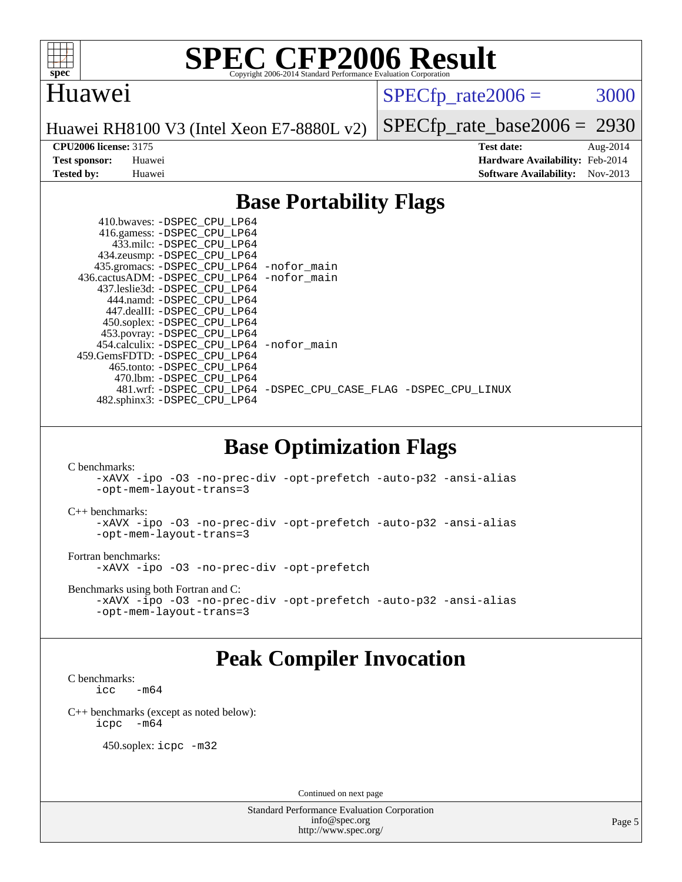

#### Huawei

 $SPECTp\_rate2006 = 3000$ 

Huawei RH8100 V3 (Intel Xeon E7-8880L v2)

[SPECfp\\_rate\\_base2006 =](http://www.spec.org/auto/cpu2006/Docs/result-fields.html#SPECfpratebase2006) 2930

**[CPU2006 license:](http://www.spec.org/auto/cpu2006/Docs/result-fields.html#CPU2006license)** 3175 **[Test date:](http://www.spec.org/auto/cpu2006/Docs/result-fields.html#Testdate)** Aug-2014 **[Test sponsor:](http://www.spec.org/auto/cpu2006/Docs/result-fields.html#Testsponsor)** Huawei **[Hardware Availability:](http://www.spec.org/auto/cpu2006/Docs/result-fields.html#HardwareAvailability)** Feb-2014 **[Tested by:](http://www.spec.org/auto/cpu2006/Docs/result-fields.html#Testedby)** Huawei **[Software Availability:](http://www.spec.org/auto/cpu2006/Docs/result-fields.html#SoftwareAvailability)** Nov-2013

#### **[Base Portability Flags](http://www.spec.org/auto/cpu2006/Docs/result-fields.html#BasePortabilityFlags)**

| 410.bwaves: -DSPEC CPU LP64<br>416.gamess: -DSPEC_CPU_LP64<br>433.milc: -DSPEC CPU LP64 |                                                                |
|-----------------------------------------------------------------------------------------|----------------------------------------------------------------|
| 434.zeusmp: -DSPEC_CPU_LP64<br>435.gromacs: -DSPEC_CPU_LP64 -nofor_main                 |                                                                |
| 436.cactusADM: - DSPEC CPU LP64 - nofor main                                            |                                                                |
| 437.leslie3d: -DSPEC CPU LP64<br>444.namd: -DSPEC CPU LP64                              |                                                                |
| 447.dealII: -DSPEC CPU LP64                                                             |                                                                |
| 450.soplex: -DSPEC CPU LP64<br>453.povray: -DSPEC_CPU_LP64                              |                                                                |
| 454.calculix: - DSPEC_CPU_LP64 -nofor_main<br>459. GemsFDTD: - DSPEC CPU LP64           |                                                                |
| 465.tonto: - DSPEC CPU LP64                                                             |                                                                |
| 470.1bm: - DSPEC CPU LP64                                                               |                                                                |
| 482.sphinx3: -DSPEC_CPU_LP64                                                            | 481.wrf: -DSPEC CPU_LP64 -DSPEC_CPU_CASE_FLAG -DSPEC_CPU_LINUX |
|                                                                                         |                                                                |

#### **[Base Optimization Flags](http://www.spec.org/auto/cpu2006/Docs/result-fields.html#BaseOptimizationFlags)**

[C benchmarks](http://www.spec.org/auto/cpu2006/Docs/result-fields.html#Cbenchmarks):

[-xAVX](http://www.spec.org/cpu2006/results/res2014q3/cpu2006-20140821-30981.flags.html#user_CCbase_f-xAVX) [-ipo](http://www.spec.org/cpu2006/results/res2014q3/cpu2006-20140821-30981.flags.html#user_CCbase_f-ipo) [-O3](http://www.spec.org/cpu2006/results/res2014q3/cpu2006-20140821-30981.flags.html#user_CCbase_f-O3) [-no-prec-div](http://www.spec.org/cpu2006/results/res2014q3/cpu2006-20140821-30981.flags.html#user_CCbase_f-no-prec-div) [-opt-prefetch](http://www.spec.org/cpu2006/results/res2014q3/cpu2006-20140821-30981.flags.html#user_CCbase_f-opt-prefetch) [-auto-p32](http://www.spec.org/cpu2006/results/res2014q3/cpu2006-20140821-30981.flags.html#user_CCbase_f-auto-p32) [-ansi-alias](http://www.spec.org/cpu2006/results/res2014q3/cpu2006-20140821-30981.flags.html#user_CCbase_f-ansi-alias) [-opt-mem-layout-trans=3](http://www.spec.org/cpu2006/results/res2014q3/cpu2006-20140821-30981.flags.html#user_CCbase_f-opt-mem-layout-trans_a7b82ad4bd7abf52556d4961a2ae94d5)

[C++ benchmarks:](http://www.spec.org/auto/cpu2006/Docs/result-fields.html#CXXbenchmarks)

[-xAVX](http://www.spec.org/cpu2006/results/res2014q3/cpu2006-20140821-30981.flags.html#user_CXXbase_f-xAVX) [-ipo](http://www.spec.org/cpu2006/results/res2014q3/cpu2006-20140821-30981.flags.html#user_CXXbase_f-ipo) [-O3](http://www.spec.org/cpu2006/results/res2014q3/cpu2006-20140821-30981.flags.html#user_CXXbase_f-O3) [-no-prec-div](http://www.spec.org/cpu2006/results/res2014q3/cpu2006-20140821-30981.flags.html#user_CXXbase_f-no-prec-div) [-opt-prefetch](http://www.spec.org/cpu2006/results/res2014q3/cpu2006-20140821-30981.flags.html#user_CXXbase_f-opt-prefetch) [-auto-p32](http://www.spec.org/cpu2006/results/res2014q3/cpu2006-20140821-30981.flags.html#user_CXXbase_f-auto-p32) [-ansi-alias](http://www.spec.org/cpu2006/results/res2014q3/cpu2006-20140821-30981.flags.html#user_CXXbase_f-ansi-alias) [-opt-mem-layout-trans=3](http://www.spec.org/cpu2006/results/res2014q3/cpu2006-20140821-30981.flags.html#user_CXXbase_f-opt-mem-layout-trans_a7b82ad4bd7abf52556d4961a2ae94d5)

[Fortran benchmarks](http://www.spec.org/auto/cpu2006/Docs/result-fields.html#Fortranbenchmarks):

[-xAVX](http://www.spec.org/cpu2006/results/res2014q3/cpu2006-20140821-30981.flags.html#user_FCbase_f-xAVX) [-ipo](http://www.spec.org/cpu2006/results/res2014q3/cpu2006-20140821-30981.flags.html#user_FCbase_f-ipo) [-O3](http://www.spec.org/cpu2006/results/res2014q3/cpu2006-20140821-30981.flags.html#user_FCbase_f-O3) [-no-prec-div](http://www.spec.org/cpu2006/results/res2014q3/cpu2006-20140821-30981.flags.html#user_FCbase_f-no-prec-div) [-opt-prefetch](http://www.spec.org/cpu2006/results/res2014q3/cpu2006-20140821-30981.flags.html#user_FCbase_f-opt-prefetch)

[Benchmarks using both Fortran and C](http://www.spec.org/auto/cpu2006/Docs/result-fields.html#BenchmarksusingbothFortranandC):

```
-xAVX -ipo -O3 -no-prec-div -opt-prefetch -auto-p32 -ansi-alias
-opt-mem-layout-trans=3
```
### **[Peak Compiler Invocation](http://www.spec.org/auto/cpu2006/Docs/result-fields.html#PeakCompilerInvocation)**

[C benchmarks](http://www.spec.org/auto/cpu2006/Docs/result-fields.html#Cbenchmarks):  $\text{icc}$  -m64

[C++ benchmarks \(except as noted below\):](http://www.spec.org/auto/cpu2006/Docs/result-fields.html#CXXbenchmarksexceptasnotedbelow) [icpc -m64](http://www.spec.org/cpu2006/results/res2014q3/cpu2006-20140821-30981.flags.html#user_CXXpeak_intel_icpc_64bit_bedb90c1146cab66620883ef4f41a67e)

450.soplex: [icpc -m32](http://www.spec.org/cpu2006/results/res2014q3/cpu2006-20140821-30981.flags.html#user_peakCXXLD450_soplex_intel_icpc_4e5a5ef1a53fd332b3c49e69c3330699)

Continued on next page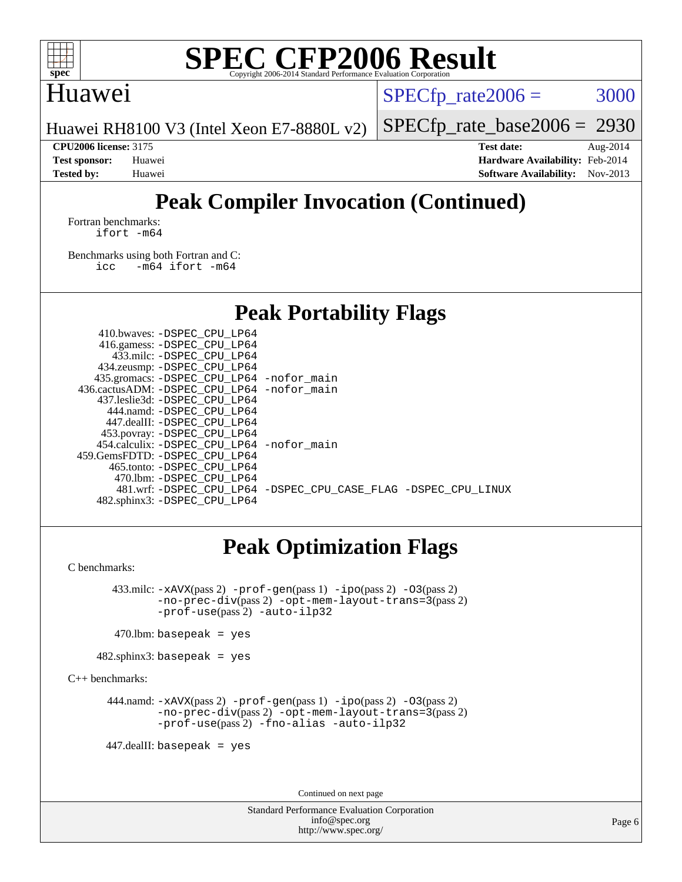

#### Huawei

 $SPECTp\_rate2006 = 3000$ 

Huawei RH8100 V3 (Intel Xeon E7-8880L v2)

[SPECfp\\_rate\\_base2006 =](http://www.spec.org/auto/cpu2006/Docs/result-fields.html#SPECfpratebase2006) 2930

**[CPU2006 license:](http://www.spec.org/auto/cpu2006/Docs/result-fields.html#CPU2006license)** 3175 **[Test date:](http://www.spec.org/auto/cpu2006/Docs/result-fields.html#Testdate)** Aug-2014 **[Test sponsor:](http://www.spec.org/auto/cpu2006/Docs/result-fields.html#Testsponsor)** Huawei **[Hardware Availability:](http://www.spec.org/auto/cpu2006/Docs/result-fields.html#HardwareAvailability)** Feb-2014 **[Tested by:](http://www.spec.org/auto/cpu2006/Docs/result-fields.html#Testedby)** Huawei **[Software Availability:](http://www.spec.org/auto/cpu2006/Docs/result-fields.html#SoftwareAvailability)** Nov-2013

### **[Peak Compiler Invocation \(Continued\)](http://www.spec.org/auto/cpu2006/Docs/result-fields.html#PeakCompilerInvocation)**

[Fortran benchmarks](http://www.spec.org/auto/cpu2006/Docs/result-fields.html#Fortranbenchmarks): [ifort -m64](http://www.spec.org/cpu2006/results/res2014q3/cpu2006-20140821-30981.flags.html#user_FCpeak_intel_ifort_64bit_ee9d0fb25645d0210d97eb0527dcc06e)

[Benchmarks using both Fortran and C](http://www.spec.org/auto/cpu2006/Docs/result-fields.html#BenchmarksusingbothFortranandC): [icc -m64](http://www.spec.org/cpu2006/results/res2014q3/cpu2006-20140821-30981.flags.html#user_CC_FCpeak_intel_icc_64bit_0b7121f5ab7cfabee23d88897260401c) [ifort -m64](http://www.spec.org/cpu2006/results/res2014q3/cpu2006-20140821-30981.flags.html#user_CC_FCpeak_intel_ifort_64bit_ee9d0fb25645d0210d97eb0527dcc06e)

 $410. \text{b}$ 

#### **[Peak Portability Flags](http://www.spec.org/auto/cpu2006/Docs/result-fields.html#PeakPortabilityFlags)**

| 481.wrf: -DSPEC CPU_LP64 -DSPEC_CPU_CASE_FLAG -DSPEC_CPU_LINUX |
|----------------------------------------------------------------|
|                                                                |
|                                                                |

### **[Peak Optimization Flags](http://www.spec.org/auto/cpu2006/Docs/result-fields.html#PeakOptimizationFlags)**

[C benchmarks](http://www.spec.org/auto/cpu2006/Docs/result-fields.html#Cbenchmarks):

433.milc:  $-x$ AVX(pass 2)  $-p$ rof-gen(pass 1)  $-p$ po(pass 2)  $-03$ (pass 2) [-no-prec-div](http://www.spec.org/cpu2006/results/res2014q3/cpu2006-20140821-30981.flags.html#user_peakPASS2_CFLAGSPASS2_LDFLAGS433_milc_f-no-prec-div)(pass 2) [-opt-mem-layout-trans=3](http://www.spec.org/cpu2006/results/res2014q3/cpu2006-20140821-30981.flags.html#user_peakPASS2_CFLAGS433_milc_f-opt-mem-layout-trans_a7b82ad4bd7abf52556d4961a2ae94d5)(pass 2) [-prof-use](http://www.spec.org/cpu2006/results/res2014q3/cpu2006-20140821-30981.flags.html#user_peakPASS2_CFLAGSPASS2_LDFLAGS433_milc_prof_use_bccf7792157ff70d64e32fe3e1250b55)(pass 2) [-auto-ilp32](http://www.spec.org/cpu2006/results/res2014q3/cpu2006-20140821-30981.flags.html#user_peakCOPTIMIZE433_milc_f-auto-ilp32)

 $470.$ lbm: basepeak = yes

 $482$ .sphinx3: basepeak = yes

[C++ benchmarks:](http://www.spec.org/auto/cpu2006/Docs/result-fields.html#CXXbenchmarks)

 444.namd: [-xAVX](http://www.spec.org/cpu2006/results/res2014q3/cpu2006-20140821-30981.flags.html#user_peakPASS2_CXXFLAGSPASS2_LDFLAGS444_namd_f-xAVX)(pass 2) [-prof-gen](http://www.spec.org/cpu2006/results/res2014q3/cpu2006-20140821-30981.flags.html#user_peakPASS1_CXXFLAGSPASS1_LDFLAGS444_namd_prof_gen_e43856698f6ca7b7e442dfd80e94a8fc)(pass 1) [-ipo](http://www.spec.org/cpu2006/results/res2014q3/cpu2006-20140821-30981.flags.html#user_peakPASS2_CXXFLAGSPASS2_LDFLAGS444_namd_f-ipo)(pass 2) [-O3](http://www.spec.org/cpu2006/results/res2014q3/cpu2006-20140821-30981.flags.html#user_peakPASS2_CXXFLAGSPASS2_LDFLAGS444_namd_f-O3)(pass 2) [-no-prec-div](http://www.spec.org/cpu2006/results/res2014q3/cpu2006-20140821-30981.flags.html#user_peakPASS2_CXXFLAGSPASS2_LDFLAGS444_namd_f-no-prec-div)(pass 2) [-opt-mem-layout-trans=3](http://www.spec.org/cpu2006/results/res2014q3/cpu2006-20140821-30981.flags.html#user_peakPASS2_CXXFLAGS444_namd_f-opt-mem-layout-trans_a7b82ad4bd7abf52556d4961a2ae94d5)(pass 2) [-prof-use](http://www.spec.org/cpu2006/results/res2014q3/cpu2006-20140821-30981.flags.html#user_peakPASS2_CXXFLAGSPASS2_LDFLAGS444_namd_prof_use_bccf7792157ff70d64e32fe3e1250b55)(pass 2) [-fno-alias](http://www.spec.org/cpu2006/results/res2014q3/cpu2006-20140821-30981.flags.html#user_peakCXXOPTIMIZE444_namd_f-no-alias_694e77f6c5a51e658e82ccff53a9e63a) [-auto-ilp32](http://www.spec.org/cpu2006/results/res2014q3/cpu2006-20140821-30981.flags.html#user_peakCXXOPTIMIZE444_namd_f-auto-ilp32)

447.dealII: basepeak = yes

Continued on next page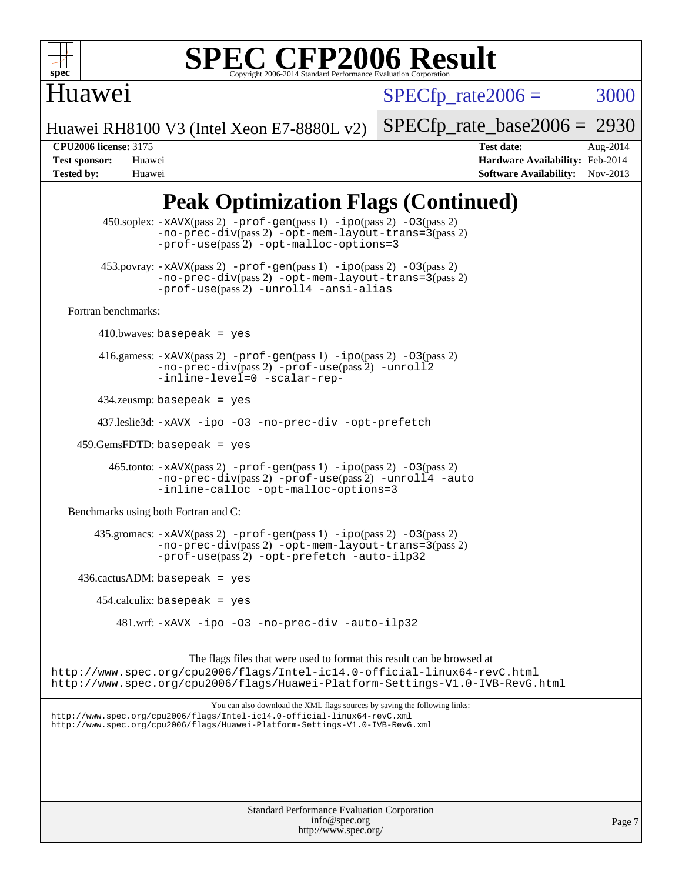

### Huawei

 $SPECTp_rate2006 = 3000$ 

Huawei RH8100 V3 (Intel Xeon E7-8880L v2)

[SPECfp\\_rate\\_base2006 =](http://www.spec.org/auto/cpu2006/Docs/result-fields.html#SPECfpratebase2006) 2930 **[CPU2006 license:](http://www.spec.org/auto/cpu2006/Docs/result-fields.html#CPU2006license)** 3175 **[Test date:](http://www.spec.org/auto/cpu2006/Docs/result-fields.html#Testdate)** Aug-2014 **[Test sponsor:](http://www.spec.org/auto/cpu2006/Docs/result-fields.html#Testsponsor)** Huawei **[Hardware Availability:](http://www.spec.org/auto/cpu2006/Docs/result-fields.html#HardwareAvailability)** Feb-2014 **[Tested by:](http://www.spec.org/auto/cpu2006/Docs/result-fields.html#Testedby)** Huawei **[Software Availability:](http://www.spec.org/auto/cpu2006/Docs/result-fields.html#SoftwareAvailability)** Nov-2013

### **[Peak Optimization Flags \(Continued\)](http://www.spec.org/auto/cpu2006/Docs/result-fields.html#PeakOptimizationFlags)**

|                                      | $450$ .soplex: $-x$ AVX(pass 2) $-p$ rof-gen(pass 1) $-i$ po(pass 2) $-03$ (pass 2)<br>$-no\text{-prec-div}(pass 2)$ -opt-mem-layout-trans=3(pass 2)<br>-prof-use(pass 2) -opt-malloc-options=3                                      |  |  |  |  |  |
|--------------------------------------|--------------------------------------------------------------------------------------------------------------------------------------------------------------------------------------------------------------------------------------|--|--|--|--|--|
|                                      | $453.$ povray: $-xAVX(pass 2)$ -prof-gen(pass 1) -ipo(pass 2) -03(pass 2)<br>$-no\text{-prec-div}(pass 2)$ $-opt\text{-mem-layout-trans=3}(pass 2)$<br>-prof-use(pass 2) -unroll4 -ansi-alias                                        |  |  |  |  |  |
| Fortran benchmarks:                  |                                                                                                                                                                                                                                      |  |  |  |  |  |
|                                      | $410.bwaves: basepeak = yes$                                                                                                                                                                                                         |  |  |  |  |  |
|                                      | 416.gamess: $-x$ AVX(pass 2) $-prof-gen(pass 1) -ipo(pass 2) -O3(pass 2)$<br>-no-prec-div(pass 2) -prof-use(pass 2) -unroll2<br>-inline-level=0 -scalar-rep-                                                                         |  |  |  |  |  |
| $434$ .zeusmp: basepeak = yes        |                                                                                                                                                                                                                                      |  |  |  |  |  |
|                                      | 437.leslie3d: -xAVX -ipo -03 -no-prec-div -opt-prefetch                                                                                                                                                                              |  |  |  |  |  |
|                                      | $459.GemsFDTD: basepeak = yes$                                                                                                                                                                                                       |  |  |  |  |  |
|                                      | $465$ .tonto: $-xAVX(pass 2)$ -prof-gen(pass 1) -ipo(pass 2) -03(pass 2)<br>-no-prec-div(pass 2) -prof-use(pass 2) -unroll4 -auto<br>-inline-calloc -opt-malloc-options=3                                                            |  |  |  |  |  |
| Benchmarks using both Fortran and C: |                                                                                                                                                                                                                                      |  |  |  |  |  |
|                                      | $435 \text{.}$ gromacs: $-x$ AVX(pass 2) $-p$ rof-gen(pass 1) $-i$ po(pass 2) $-03$ (pass 2)<br>$-no\text{-prec-div}(pass 2) - opt-mem-layer-trans=3 (pass 2)$<br>-prof-use(pass 2) -opt-prefetch -auto-ilp32                        |  |  |  |  |  |
| $436.cactusADM:basepeak = yes$       |                                                                                                                                                                                                                                      |  |  |  |  |  |
| $454$ .calculix: basepeak = yes      |                                                                                                                                                                                                                                      |  |  |  |  |  |
|                                      | 481.wrf: -xAVX -ipo -03 -no-prec-div -auto-ilp32                                                                                                                                                                                     |  |  |  |  |  |
|                                      | The flags files that were used to format this result can be browsed at<br>http://www.spec.org/cpu2006/flags/Intel-ic14.0-official-linux64-revC.html<br>http://www.spec.org/cpu2006/flags/Huawei-Platform-Settings-V1.0-IVB-RevG.html |  |  |  |  |  |

You can also download the XML flags sources by saving the following links: <http://www.spec.org/cpu2006/flags/Intel-ic14.0-official-linux64-revC.xml> <http://www.spec.org/cpu2006/flags/Huawei-Platform-Settings-V1.0-IVB-RevG.xml>